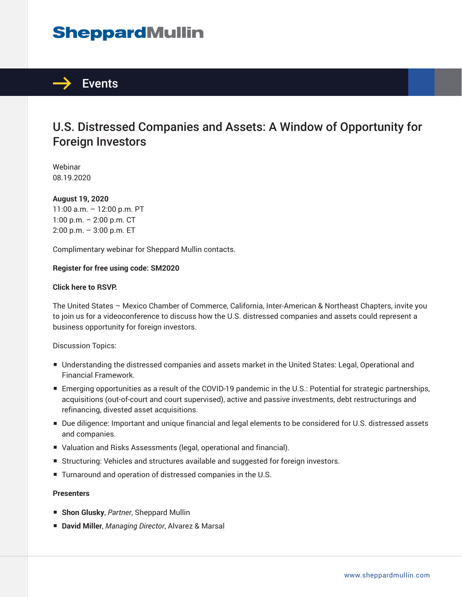# **SheppardMullin**



### U.S. Distressed Companies and Assets: A Window of Opportunity for Foreign Investors

Webinar 08.19.2020

#### **August 19, 2020**

11:00 a.m. – 12:00 p.m. PT 1:00 p.m. – 2:00 p.m. CT 2:00 p.m. – 3:00 p.m. ET

Complimentary webinar for Sheppard Mullin contacts.

#### **Register for free using code: SM2020**

#### **Click here to RSVP.**

The United States – Mexico Chamber of Commerce, California, Inter-American & Northeast Chapters, invite you to join us for a videoconference to discuss how the U.S. distressed companies and assets could represent a business opportunity for foreign investors.

Discussion Topics:

- Understanding the distressed companies and assets market in the United States: Legal, Operational and Financial Framework.
- Emerging opportunities as a result of the COVID-19 pandemic in the U.S.: Potential for strategic partnerships, acquisitions (out-of-court and court supervised), active and passive investments, debt restructurings and refinancing, divested asset acquisitions.
- Due diligence: Important and unique financial and legal elements to be considered for U.S. distressed assets and companies.
- Valuation and Risks Assessments (legal, operational and financial).
- Structuring: Vehicles and structures available and suggested for foreign investors.
- Turnaround and operation of distressed companies in the U.S.

#### **Presenters**

- **Shon Glusky**, *Partner*, Sheppard Mullin
- **David Miller**, *Managing Director*, Alvarez & Marsal